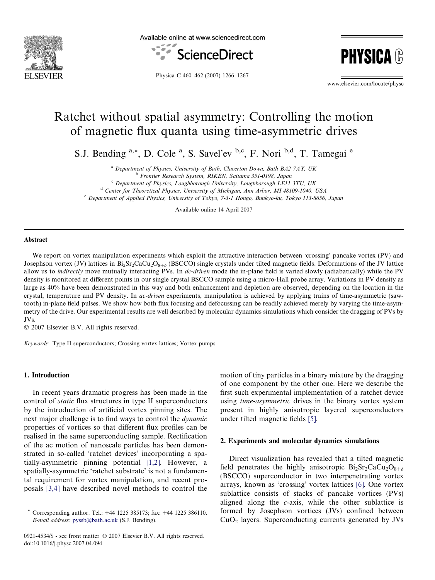

Available online at www.sciencedirect.com



**PHYSIC!** 

Physica C 460–462 (2007) 1266–1267

www.elsevier.com/locate/physc

# Ratchet without spatial asymmetry: Controlling the motion of magnetic flux quanta using time-asymmetric drives

S.J. Bending <sup>a,\*</sup>, D. Cole <sup>a</sup>, S. Savel'ev <sup>b,c</sup>, F. Nori <sup>b,d</sup>, T. Tamegai <sup>e</sup>

<sup>a</sup> Department of Physics, University of Bath, Claverton Down, Bath BA2 7AY, UK

<sup>b</sup> Frontier Research System, RIKEN, Saitama 351-0198, Japan

<sup>c</sup> Department of Physics, Loughborough University, Loughborough LE11 3TU, UK

<sup>d</sup> Center for Theoretical Physics, University of Michigan, Ann Arbor, MI 48109-1040, USA

<sup>e</sup> Department of Applied Physics, University of Tokyo, 7-3-1 Hongo, Bunkyo-ku, Tokyo 113-8656, Japan

Available online 14 April 2007

#### Abstract

We report on vortex manipulation experiments which exploit the attractive interaction between 'crossing' pancake vortex (PV) and Josephson vortex (JV) lattices in  $Bi_2Sr_2CaCu_2O_{8+\delta}$  (BSCCO) single crystals under tilted magnetic fields. Deformations of the JV lattice allow us to *indirectly* move mutually interacting PVs. In *dc-driven* mode the in-plane field is varied slowly (adiabatically) while the PV density is monitored at different points in our single crystal BSCCO sample using a micro-Hall probe array. Variations in PV density as large as 40% have been demonstrated in this way and both enhancement and depletion are observed, depending on the location in the crystal, temperature and PV density. In *ac-driven* experiments, manipulation is achieved by applying trains of time-asymmetric (sawtooth) in-plane field pulses. We show how both flux focusing and defocussing can be readily achieved merely by varying the time-asymmetry of the drive. Our experimental results are well described by molecular dynamics simulations which consider the dragging of PVs by JVs.

 $© 2007 Elsevier B.V. All rights reserved.$ 

Keywords: Type II superconductors; Crossing vortex lattices; Vortex pumps

## 1. Introduction

In recent years dramatic progress has been made in the control of static flux structures in type II superconductors by the introduction of artificial vortex pinning sites. The next major challenge is to find ways to control the dynamic properties of vortices so that different flux profiles can be realised in the same superconducting sample. Rectification of the ac motion of nanoscale particles has been demonstrated in so-called 'ratchet devices' incorporating a spatially-asymmetric pinning potential [\[1,2\].](#page-1-0) However, a spatially-asymmetric 'ratchet substrate' is not a fundamental requirement for vortex manipulation, and recent proposals [\[3,4\]](#page-1-0) have described novel methods to control the

motion of tiny particles in a binary mixture by the dragging of one component by the other one. Here we describe the first such experimental implementation of a ratchet device using *time-asymmetric* drives in the binary vortex system present in highly anisotropic layered superconductors under tilted magnetic fields [\[5\]](#page-1-0).

#### 2. Experiments and molecular dynamics simulations

Direct visualization has revealed that a tilted magnetic field penetrates the highly anisotropic  $Bi_2Sr_2CaCu_2O_{8+\delta}$ (BSCCO) superconductor in two interpenetrating vortex arrays, known as 'crossing' vortex lattices [\[6\]](#page-1-0). One vortex sublattice consists of stacks of pancake vortices (PVs) aligned along the c-axis, while the other sublattice is formed by Josephson vortices (JVs) confined between  $CuO<sub>2</sub>$  layers. Superconducting currents generated by JVs

Corresponding author. Tel.: +44 1225 385173; fax: +44 1225 386110. E-mail address: [pyssb@bath.ac.uk](mailto:pyssb@bath.ac.uk) (S.J. Bending).

<sup>0921-4534/\$ -</sup> see front matter © 2007 Elsevier B.V. All rights reserved. doi:10.1016/j.physc.2007.04.094